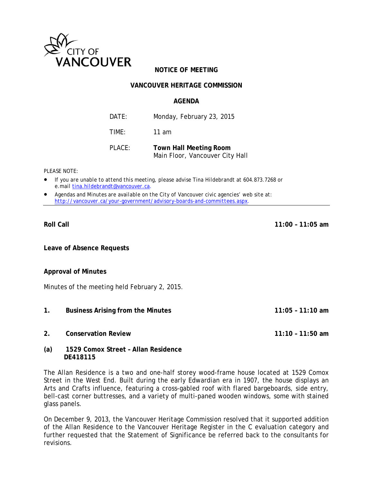

# **NOTICE OF MEETING**

## **VANCOUVER HERITAGE COMMISSION**

#### **AGENDA**

DATE: Monday, February 23, 2015 TIME: 11 am

PLACE: **Town Hall Meeting Room**  Main Floor, Vancouver City Hall

*PLEASE NOTE:* 

- *If you are unable to attend this meeting, please advise Tina Hildebrandt at 604.873.7268 or e.mail tina.hildebrandt@vancouver.ca*.
- *Agendas and Minutes are available on the City of Vancouver civic agencies' web site at: http://vancouver.ca/your-government/advisory-boards-and-committees.aspx*.

**Leave of Absence Requests** 

#### **Approval of Minutes**

Minutes of the meeting held February 2, 2015.

- **1. Business Arising from the Minutes 11:05 11:10 am**
- **2. Conservation Review 11:10 11:50 am**
- **(a) 1529 Comox Street Allan Residence**

 **DE418115** 

The Allan Residence is a two and one-half storey wood-frame house located at 1529 Comox Street in the West End. Built during the early Edwardian era in 1907, the house displays an Arts and Crafts influence, featuring a cross-gabled roof with flared bargeboards, side entry, bell-cast corner buttresses, and a variety of multi-paned wooden windows, some with stained glass panels.

On December 9, 2013, the Vancouver Heritage Commission resolved that it supported addition of the Allan Residence to the Vancouver Heritage Register in the C evaluation category and further requested that the Statement of Significance be referred back to the consultants for revisions.

**Roll Call 11:00 – 11:05 am**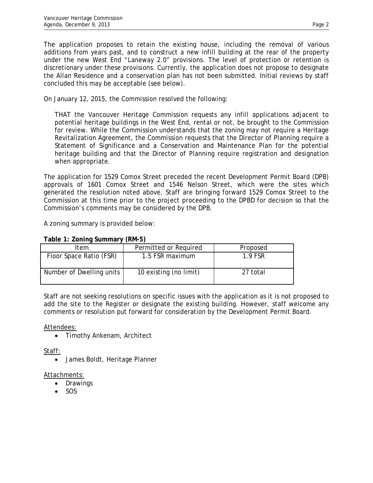The application proposes to retain the existing house, including the removal of various additions from years past, and to construct a new infill building at the rear of the property under the new West End "Laneway 2.0" provisions. The level of protection or retention is discretionary under these provisions. Currently, the application does not propose to designate the Allan Residence and a conservation plan has not been submitted. Initial reviews by staff concluded this may be acceptable (see below).

On January 12, 2015, the Commission resolved the following:

THAT the Vancouver Heritage Commission requests any infill applications adjacent to potential heritage buildings in the West End, rental or not, be brought to the Commission for review. While the Commission understands that the zoning may not require a Heritage Revitalization Agreement, the Commission requests that the Director of Planning require a Statement of Significance and a Conservation and Maintenance Plan for the potential heritage building and that the Director of Planning require registration and designation when appropriate.

The application for 1529 Comox Street preceded the recent Development Permit Board (DPB) approvals of 1601 Comox Street and 1546 Nelson Street, which were the sites which generated the resolution noted above. Staff are bringing forward 1529 Comox Street to the Commission at this time prior to the project proceeding to the DPBD for decision so that the Commission's comments may be considered by the DPB.

A zoning summary is provided below:

| $1.4010$ $1.60111114$ $0.611111141$ $1.11111$ $0.1$ |                        |          |
|-----------------------------------------------------|------------------------|----------|
| Item                                                | Permitted or Required  | Proposed |
| Floor Space Ratio (FSR)                             | 1.5 FSR maximum        | 1.9 FSR  |
| Number of Dwelling units                            | 10 existing (no limit) | 27 total |

# **Table 1: Zoning Summary (RM-5)**

Staff are not seeking resolutions on specific issues with the application as it is not proposed to add the site to the Register or designate the existing building. However, staff welcome any comments or resolution put forward for consideration by the Development Permit Board.

Attendees:

• Timothy Ankenam, Architect

Staff:

James Boldt, Heritage Planner

## Attachments:

- Drawings
- SOS